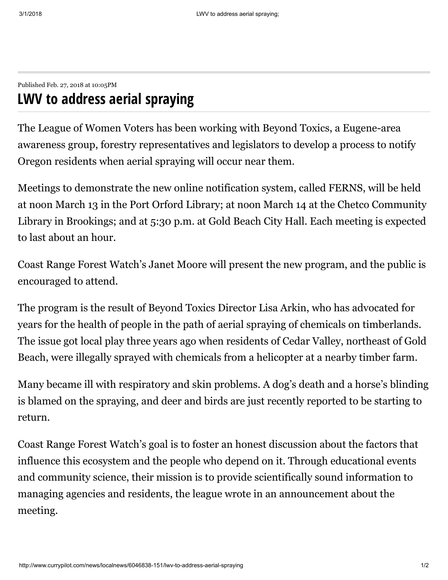Published Feb. 27, 2018 at 10:05PM

## LWV to address aerial spraying

The League of Women Voters has been working with Beyond Toxics, a Eugene-area awareness group, forestry representatives and legislators to develop a process to notify Oregon residents when aerial spraying will occur near them.

Meetings to demonstrate the new online notification system, called FERNS, will be held at noon March 13 in the Port Orford Library; at noon March 14 at the Chetco Community Library in Brookings; and at 5:30 p.m. at Gold Beach City Hall. Each meeting is expected to last about an hour.

Coast Range Forest Watch's Janet Moore will present the new program, and the public is encouraged to attend.

The program is the result of Beyond Toxics Director Lisa Arkin, who has advocated for years for the health of people in the path of aerial spraying of chemicals on timberlands. The issue got local play three years ago when residents of Cedar Valley, northeast of Gold Beach, were illegally sprayed with chemicals from a helicopter at a nearby timber farm.

Many became ill with respiratory and skin problems. A dog's death and a horse's blinding is blamed on the spraying, and deer and birds are just recently reported to be starting to return.

Coast Range Forest Watch's goal is to foster an honest discussion about the factors that influence this ecosystem and the people who depend on it. Through educational events and community science, their mission is to provide scientifically sound information to managing agencies and residents, the league wrote in an announcement about the meeting.